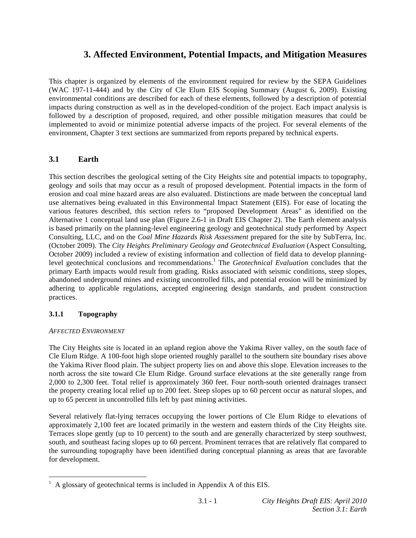# **3. Affected Environment, Potential Impacts, and Mitigation Measures**

This chapter is organized by elements of the environment required for review by the SEPA Guidelines (WAC 197-11-444) and by the City of Cle Elum EIS Scoping Summary (August 6, 2009). Existing environmental conditions are described for each of these elements, followed by a description of potential impacts during construction as well as in the developed-condition of the project. Each impact analysis is followed by a description of proposed, required, and other possible mitigation measures that could be implemented to avoid or minimize potential adverse impacts of the project. For several elements of the environment, Chapter 3 text sections are summarized from reports prepared by technical experts.

# **3.1 Earth**

This section describes the geological setting of the City Heights site and potential impacts to topography, geology and soils that may occur as a result of proposed development. Potential impacts in the form of erosion and coal mine hazard areas are also evaluated. Distinctions are made between the conceptual land use alternatives being evaluated in this Environmental Impact Statement (EIS). For ease of locating the various features described, this section refers to "proposed Development Areas" as identified on the Alternative 1 conceptual land use plan (Figure 2.6-1 in Draft EIS Chapter 2). The Earth element analysis is based primarily on the planning-level engineering geology and geotechnical study performed by Aspect Consulting, LLC, and on the *Coal Mine Hazards Risk Assessment* prepared for the site by SubTerra, Inc. (October 2009). The *City Heights Preliminary Geology and Geotechnical Evaluation* (Aspect Consulting, October 2009) included a review of existing information and collection of field data to develop planninglevel geotechnical conclusions and recommendations.<sup>1</sup> The *Geotechnical Evaluation* concludes that the primary Earth impacts would result from grading. Risks associated with seismic conditions, steep slopes, abandoned underground mines and existing uncontrolled fills, and potential erosion will be minimized by adhering to applicable regulations, accepted engineering design standards, and prudent construction practices.

# **3.1.1 Topography**

# *AFFECTED ENVIRONMENT*

The City Heights site is located in an upland region above the Yakima River valley, on the south face of Cle Elum Ridge. A 100-foot high slope oriented roughly parallel to the southern site boundary rises above the Yakima River flood plain. The subject property lies on and above this slope. Elevation increases to the north across the site toward Cle Elum Ridge. Ground surface elevations at the site generally range from 2,000 to 2,300 feet. Total relief is approximately 360 feet. Four north-south oriented drainages transect the property creating local relief up to 200 feet. Steep slopes up to 60 percent occur as natural slopes, and up to 65 percent in uncontrolled fills left by past mining activities.

Several relatively flat-lying terraces occupying the lower portions of Cle Elum Ridge to elevations of approximately 2,100 feet are located primarily in the western and eastern thirds of the City Heights site. Terraces slope gently (up to 10 percent) to the south and are generally characterized by steep southwest, south, and southeast facing slopes up to 60 percent. Prominent terraces that are relatively flat compared to the surrounding topography have been identified during conceptual planning as areas that are favorable for development.

<sup>&</sup>lt;sup>1</sup> A glossary of geotechnical terms is included in Appendix A of this EIS.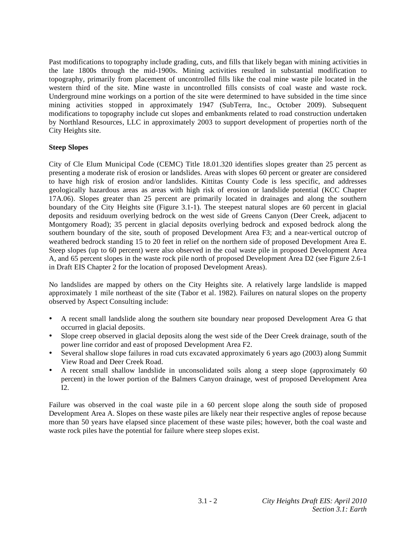Past modifications to topography include grading, cuts, and fills that likely began with mining activities in the late 1800s through the mid-1900s. Mining activities resulted in substantial modification to topography, primarily from placement of uncontrolled fills like the coal mine waste pile located in the western third of the site. Mine waste in uncontrolled fills consists of coal waste and waste rock. Underground mine workings on a portion of the site were determined to have subsided in the time since mining activities stopped in approximately 1947 (SubTerra, Inc., October 2009). Subsequent modifications to topography include cut slopes and embankments related to road construction undertaken by Northland Resources, LLC in approximately 2003 to support development of properties north of the City Heights site.

# **Steep Slopes**

City of Cle Elum Municipal Code (CEMC) Title 18.01.320 identifies slopes greater than 25 percent as presenting a moderate risk of erosion or landslides. Areas with slopes 60 percent or greater are considered to have high risk of erosion and/or landslides. Kittitas County Code is less specific, and addresses geologically hazardous areas as areas with high risk of erosion or landslide potential (KCC Chapter 17A.06). Slopes greater than 25 percent are primarily located in drainages and along the southern boundary of the City Heights site (Figure 3.1-1). The steepest natural slopes are 60 percent in glacial deposits and residuum overlying bedrock on the west side of Greens Canyon (Deer Creek, adjacent to Montgomery Road); 35 percent in glacial deposits overlying bedrock and exposed bedrock along the southern boundary of the site, south of proposed Development Area F3; and a near-vertical outcrop of weathered bedrock standing 15 to 20 feet in relief on the northern side of proposed Development Area E. Steep slopes (up to 60 percent) were also observed in the coal waste pile in proposed Development Area A, and 65 percent slopes in the waste rock pile north of proposed Development Area D2 (see Figure 2.6-1 in Draft EIS Chapter 2 for the location of proposed Development Areas).

No landslides are mapped by others on the City Heights site. A relatively large landslide is mapped approximately 1 mile northeast of the site (Tabor et al. 1982). Failures on natural slopes on the property observed by Aspect Consulting include:

- A recent small landslide along the southern site boundary near proposed Development Area G that occurred in glacial deposits.
- Slope creep observed in glacial deposits along the west side of the Deer Creek drainage, south of the power line corridor and east of proposed Development Area F2.
- Several shallow slope failures in road cuts excavated approximately 6 years ago (2003) along Summit View Road and Deer Creek Road.
- A recent small shallow landslide in unconsolidated soils along a steep slope (approximately 60 percent) in the lower portion of the Balmers Canyon drainage, west of proposed Development Area I2.

Failure was observed in the coal waste pile in a 60 percent slope along the south side of proposed Development Area A. Slopes on these waste piles are likely near their respective angles of repose because more than 50 years have elapsed since placement of these waste piles; however, both the coal waste and waste rock piles have the potential for failure where steep slopes exist.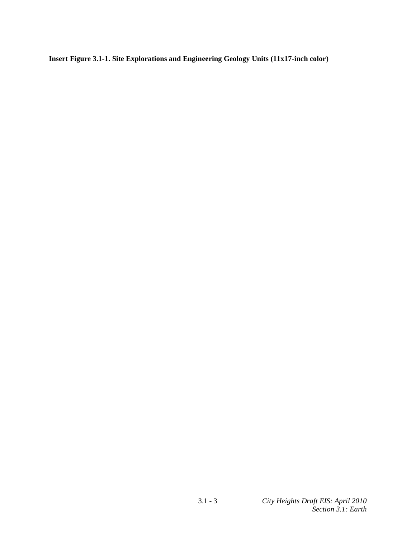**Insert Figure 3.1-1. Site Explorations and Engineering Geology Units (11x17-inch color)**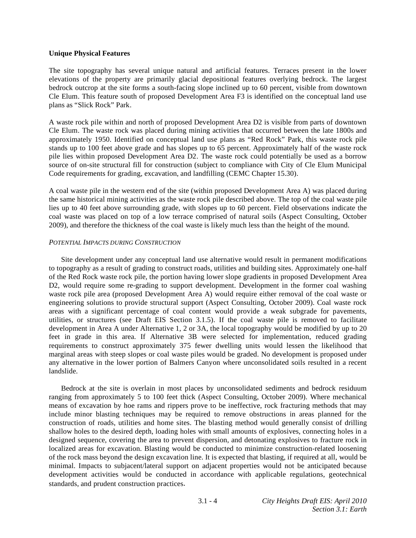### **Unique Physical Features**

The site topography has several unique natural and artificial features. Terraces present in the lower elevations of the property are primarily glacial depositional features overlying bedrock. The largest bedrock outcrop at the site forms a south-facing slope inclined up to 60 percent, visible from downtown Cle Elum. This feature south of proposed Development Area F3 is identified on the conceptual land use plans as "Slick Rock" Park.

A waste rock pile within and north of proposed Development Area D2 is visible from parts of downtown Cle Elum. The waste rock was placed during mining activities that occurred between the late 1800s and approximately 1950. Identified on conceptual land use plans as "Red Rock" Park, this waste rock pile stands up to 100 feet above grade and has slopes up to 65 percent. Approximately half of the waste rock pile lies within proposed Development Area D2. The waste rock could potentially be used as a borrow source of on-site structural fill for construction (subject to compliance with City of Cle Elum Municipal Code requirements for grading, excavation, and landfilling (CEMC Chapter 15.30).

A coal waste pile in the western end of the site (within proposed Development Area A) was placed during the same historical mining activities as the waste rock pile described above. The top of the coal waste pile lies up to 40 feet above surrounding grade, with slopes up to 60 percent. Field observations indicate the coal waste was placed on top of a low terrace comprised of natural soils (Aspect Consulting, October 2009), and therefore the thickness of the coal waste is likely much less than the height of the mound.

### *POTENTIAL IMPACTS DURING CONSTRUCTION*

 Site development under any conceptual land use alternative would result in permanent modifications to topography as a result of grading to construct roads, utilities and building sites. Approximately one-half of the Red Rock waste rock pile, the portion having lower slope gradients in proposed Development Area D2, would require some re-grading to support development. Development in the former coal washing waste rock pile area (proposed Development Area A) would require either removal of the coal waste or engineering solutions to provide structural support (Aspect Consulting, October 2009). Coal waste rock areas with a significant percentage of coal content would provide a weak subgrade for pavements, utilities, or structures (see Draft EIS Section 3.1.5). If the coal waste pile is removed to facilitate development in Area A under Alternative 1, 2 or 3A, the local topography would be modified by up to 20 feet in grade in this area. If Alternative 3B were selected for implementation, reduced grading requirements to construct approximately 375 fewer dwelling units would lessen the likelihood that marginal areas with steep slopes or coal waste piles would be graded. No development is proposed under any alternative in the lower portion of Balmers Canyon where unconsolidated soils resulted in a recent landslide.

 Bedrock at the site is overlain in most places by unconsolidated sediments and bedrock residuum ranging from approximately 5 to 100 feet thick (Aspect Consulting, October 2009). Where mechanical means of excavation by hoe rams and rippers prove to be ineffective, rock fracturing methods that may include minor blasting techniques may be required to remove obstructions in areas planned for the construction of roads, utilities and home sites. The blasting method would generally consist of drilling shallow holes to the desired depth, loading holes with small amounts of explosives, connecting holes in a designed sequence, covering the area to prevent dispersion, and detonating explosives to fracture rock in localized areas for excavation. Blasting would be conducted to minimize construction-related loosening of the rock mass beyond the design excavation line. It is expected that blasting, if required at all, would be minimal. Impacts to subjacent/lateral support on adjacent properties would not be anticipated because development activities would be conducted in accordance with applicable regulations, geotechnical standards, and prudent construction practices.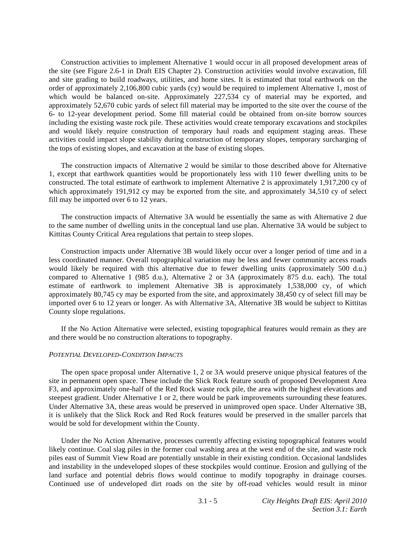Construction activities to implement Alternative 1 would occur in all proposed development areas of the site (see Figure 2.6-1 in Draft EIS Chapter 2). Construction activities would involve excavation, fill and site grading to build roadways, utilities, and home sites. It is estimated that total earthwork on the order of approximately 2,106,800 cubic yards (cy) would be required to implement Alternative 1, most of which would be balanced on-site. Approximately 227,534 cy of material may be exported, and approximately 52,670 cubic yards of select fill material may be imported to the site over the course of the 6- to 12-year development period. Some fill material could be obtained from on-site borrow sources including the existing waste rock pile. These activities would create temporary excavations and stockpiles and would likely require construction of temporary haul roads and equipment staging areas. These activities could impact slope stability during construction of temporary slopes, temporary surcharging of the tops of existing slopes, and excavation at the base of existing slopes.

 The construction impacts of Alternative 2 would be similar to those described above for Alternative 1, except that earthwork quantities would be proportionately less with 110 fewer dwelling units to be constructed. The total estimate of earthwork to implement Alternative 2 is approximately 1,917,200 cy of which approximately 191,912 cy may be exported from the site, and approximately 34,510 cy of select fill may be imported over 6 to 12 years.

 The construction impacts of Alternative 3A would be essentially the same as with Alternative 2 due to the same number of dwelling units in the conceptual land use plan. Alternative 3A would be subject to Kittitas County Critical Area regulations that pertain to steep slopes.

 Construction impacts under Alternative 3B would likely occur over a longer period of time and in a less coordinated manner. Overall topographical variation may be less and fewer community access roads would likely be required with this alternative due to fewer dwelling units (approximately 500 d.u.) compared to Alternative 1 (985 d.u.), Alternative 2 or 3A (approximately 875 d.u. each). The total estimate of earthwork to implement Alternative 3B is approximately 1,538,000 cy, of which approximately 80,745 cy may be exported from the site, and approximately 38,450 cy of select fill may be imported over 6 to 12 years or longer. As with Alternative 3A, Alternative 3B would be subject to Kittitas County slope regulations.

 If the No Action Alternative were selected, existing topographical features would remain as they are and there would be no construction alterations to topography.

#### *POTENTIAL DEVELOPED-CONDITION IMPACTS*

 The open space proposal under Alternative 1, 2 or 3A would preserve unique physical features of the site in permanent open space. These include the Slick Rock feature south of proposed Development Area F3, and approximately one-half of the Red Rock waste rock pile, the area with the highest elevations and steepest gradient. Under Alternative 1 or 2, there would be park improvements surrounding these features. Under Alternative 3A, these areas would be preserved in unimproved open space. Under Alternative 3B, it is unlikely that the Slick Rock and Red Rock features would be preserved in the smaller parcels that would be sold for development within the County.

 Under the No Action Alternative, processes currently affecting existing topographical features would likely continue. Coal slag piles in the former coal washing area at the west end of the site, and waste rock piles east of Summit View Road are potentially unstable in their existing condition. Occasional landslides and instability in the undeveloped slopes of these stockpiles would continue. Erosion and gullying of the land surface and potential debris flows would continue to modify topography in drainage courses. Continued use of undeveloped dirt roads on the site by off-road vehicles would result in minor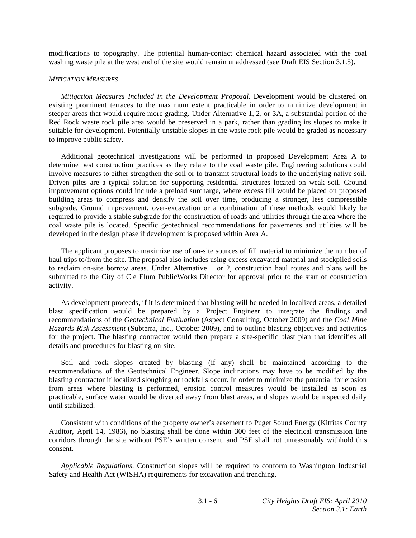modifications to topography. The potential human-contact chemical hazard associated with the coal washing waste pile at the west end of the site would remain unaddressed (see Draft EIS Section 3.1.5).

#### *MITIGATION MEASURES*

*Mitigation Measures Included in the Development Proposal*. Development would be clustered on existing prominent terraces to the maximum extent practicable in order to minimize development in steeper areas that would require more grading. Under Alternative 1, 2, or 3A, a substantial portion of the Red Rock waste rock pile area would be preserved in a park, rather than grading its slopes to make it suitable for development. Potentially unstable slopes in the waste rock pile would be graded as necessary to improve public safety.

 Additional geotechnical investigations will be performed in proposed Development Area A to determine best construction practices as they relate to the coal waste pile. Engineering solutions could involve measures to either strengthen the soil or to transmit structural loads to the underlying native soil. Driven piles are a typical solution for supporting residential structures located on weak soil. Ground improvement options could include a preload surcharge, where excess fill would be placed on proposed building areas to compress and densify the soil over time, producing a stronger, less compressible subgrade. Ground improvement, over-excavation or a combination of these methods would likely be required to provide a stable subgrade for the construction of roads and utilities through the area where the coal waste pile is located. Specific geotechnical recommendations for pavements and utilities will be developed in the design phase if development is proposed within Area A.

 The applicant proposes to maximize use of on-site sources of fill material to minimize the number of haul trips to/from the site. The proposal also includes using excess excavated material and stockpiled soils to reclaim on-site borrow areas. Under Alternative 1 or 2, construction haul routes and plans will be submitted to the City of Cle Elum PublicWorks Director for approval prior to the start of construction activity.

 As development proceeds, if it is determined that blasting will be needed in localized areas, a detailed blast specification would be prepared by a Project Engineer to integrate the findings and recommendations of the *Geotechnical Evaluation* (Aspect Consulting, October 2009) and the *Coal Mine Hazards Risk Assessment* (Subterra, Inc., October 2009), and to outline blasting objectives and activities for the project. The blasting contractor would then prepare a site-specific blast plan that identifies all details and procedures for blasting on-site.

 Soil and rock slopes created by blasting (if any) shall be maintained according to the recommendations of the Geotechnical Engineer. Slope inclinations may have to be modified by the blasting contractor if localized sloughing or rockfalls occur. In order to minimize the potential for erosion from areas where blasting is performed, erosion control measures would be installed as soon as practicable, surface water would be diverted away from blast areas, and slopes would be inspected daily until stabilized.

 Consistent with conditions of the property owner's easement to Puget Sound Energy (Kittitas County Auditor, April 14, 1986), no blasting shall be done within 300 feet of the electrical transmission line corridors through the site without PSE's written consent, and PSE shall not unreasonably withhold this consent.

*Applicable Regulations*. Construction slopes will be required to conform to Washington Industrial Safety and Health Act (WISHA) requirements for excavation and trenching.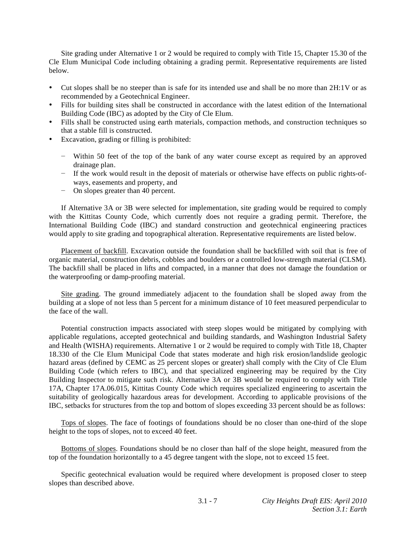Site grading under Alternative 1 or 2 would be required to comply with Title 15, Chapter 15.30 of the Cle Elum Municipal Code including obtaining a grading permit. Representative requirements are listed below.

- Cut slopes shall be no steeper than is safe for its intended use and shall be no more than 2H:1V or as recommended by a Geotechnical Engineer.
- Fills for building sites shall be constructed in accordance with the latest edition of the International Building Code (IBC) as adopted by the City of Cle Elum.
- Fills shall be constructed using earth materials, compaction methods, and construction techniques so that a stable fill is constructed.
- Excavation, grading or filling is prohibited:
	- Within 50 feet of the top of the bank of any water course except as required by an approved drainage plan.
	- If the work would result in the deposit of materials or otherwise have effects on public rights-ofways, easements and property, and
	- On slopes greater than 40 percent.

 If Alternative 3A or 3B were selected for implementation, site grading would be required to comply with the Kittitas County Code, which currently does not require a grading permit. Therefore, the International Building Code (IBC) and standard construction and geotechnical engineering practices would apply to site grading and topographical alteration. Representative requirements are listed below.

 Placement of backfill. Excavation outside the foundation shall be backfilled with soil that is free of organic material, construction debris, cobbles and boulders or a controlled low-strength material (CLSM). The backfill shall be placed in lifts and compacted, in a manner that does not damage the foundation or the waterproofing or damp-proofing material.

 Site grading. The ground immediately adjacent to the foundation shall be sloped away from the building at a slope of not less than 5 percent for a minimum distance of 10 feet measured perpendicular to the face of the wall.

 Potential construction impacts associated with steep slopes would be mitigated by complying with applicable regulations, accepted geotechnical and building standards, and Washington Industrial Safety and Health (WISHA) requirements. Alternative 1 or 2 would be required to comply with Title 18, Chapter 18.330 of the Cle Elum Municipal Code that states moderate and high risk erosion/landslide geologic hazard areas (defined by CEMC as 25 percent slopes or greater) shall comply with the City of Cle Elum Building Code (which refers to IBC), and that specialized engineering may be required by the City Building Inspector to mitigate such risk. Alternative 3A or 3B would be required to comply with Title 17A, Chapter 17A.06.015, Kittitas County Code which requires specialized engineering to ascertain the suitability of geologically hazardous areas for development. According to applicable provisions of the IBC, setbacks for structures from the top and bottom of slopes exceeding 33 percent should be as follows:

 Tops of slopes. The face of footings of foundations should be no closer than one-third of the slope height to the tops of slopes, not to exceed 40 feet.

 Bottoms of slopes. Foundations should be no closer than half of the slope height, measured from the top of the foundation horizontally to a 45 degree tangent with the slope, not to exceed 15 feet.

 Specific geotechnical evaluation would be required where development is proposed closer to steep slopes than described above.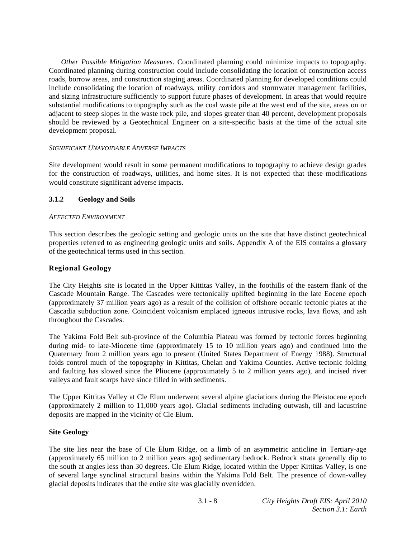*Other Possible Mitigation Measures*. Coordinated planning could minimize impacts to topography. Coordinated planning during construction could include consolidating the location of construction access roads, borrow areas, and construction staging areas. Coordinated planning for developed conditions could include consolidating the location of roadways, utility corridors and stormwater management facilities, and sizing infrastructure sufficiently to support future phases of development. In areas that would require substantial modifications to topography such as the coal waste pile at the west end of the site, areas on or adjacent to steep slopes in the waste rock pile, and slopes greater than 40 percent, development proposals should be reviewed by a Geotechnical Engineer on a site-specific basis at the time of the actual site development proposal.

# *SIGNIFICANT UNAVOIDABLE ADVERSE IMPACTS*

Site development would result in some permanent modifications to topography to achieve design grades for the construction of roadways, utilities, and home sites. It is not expected that these modifications would constitute significant adverse impacts.

# **3.1.2 Geology and Soils**

# *AFFECTED ENVIRONMENT*

This section describes the geologic setting and geologic units on the site that have distinct geotechnical properties referred to as engineering geologic units and soils. Appendix A of the EIS contains a glossary of the geotechnical terms used in this section.

# **Regional Geology**

The City Heights site is located in the Upper Kittitas Valley, in the foothills of the eastern flank of the Cascade Mountain Range. The Cascades were tectonically uplifted beginning in the late Eocene epoch (approximately 37 million years ago) as a result of the collision of offshore oceanic tectonic plates at the Cascadia subduction zone. Coincident volcanism emplaced igneous intrusive rocks, lava flows, and ash throughout the Cascades.

The Yakima Fold Belt sub-province of the Columbia Plateau was formed by tectonic forces beginning during mid- to late-Miocene time (approximately 15 to 10 million years ago) and continued into the Quaternary from 2 million years ago to present (United States Department of Energy 1988). Structural folds control much of the topography in Kittitas, Chelan and Yakima Counties. Active tectonic folding and faulting has slowed since the Pliocene (approximately 5 to 2 million years ago), and incised river valleys and fault scarps have since filled in with sediments.

The Upper Kittitas Valley at Cle Elum underwent several alpine glaciations during the Pleistocene epoch (approximately 2 million to 11,000 years ago). Glacial sediments including outwash, till and lacustrine deposits are mapped in the vicinity of Cle Elum.

# **Site Geology**

The site lies near the base of Cle Elum Ridge, on a limb of an asymmetric anticline in Tertiary-age (approximately 65 million to 2 million years ago) sedimentary bedrock. Bedrock strata generally dip to the south at angles less than 30 degrees. Cle Elum Ridge, located within the Upper Kittitas Valley, is one of several large synclinal structural basins within the Yakima Fold Belt. The presence of down-valley glacial deposits indicates that the entire site was glacially overridden.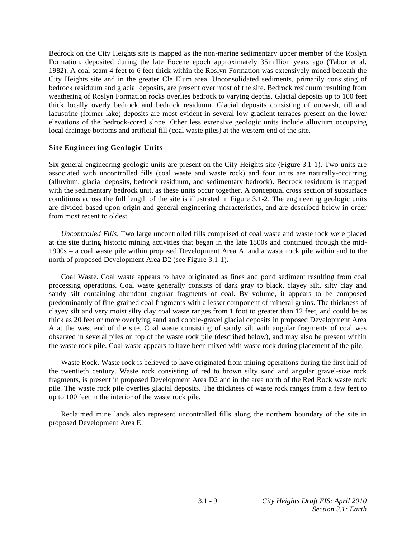Bedrock on the City Heights site is mapped as the non-marine sedimentary upper member of the Roslyn Formation, deposited during the late Eocene epoch approximately 35million years ago (Tabor et al. 1982). A coal seam 4 feet to 6 feet thick within the Roslyn Formation was extensively mined beneath the City Heights site and in the greater Cle Elum area. Unconsolidated sediments, primarily consisting of bedrock residuum and glacial deposits, are present over most of the site. Bedrock residuum resulting from weathering of Roslyn Formation rocks overlies bedrock to varying depths. Glacial deposits up to 100 feet thick locally overly bedrock and bedrock residuum. Glacial deposits consisting of outwash, till and lacustrine (former lake) deposits are most evident in several low-gradient terraces present on the lower elevations of the bedrock-cored slope. Other less extensive geologic units include alluvium occupying local drainage bottoms and artificial fill (coal waste piles) at the western end of the site.

# **Site Engineering Geologic Units**

Six general engineering geologic units are present on the City Heights site (Figure 3.1-1). Two units are associated with uncontrolled fills (coal waste and waste rock) and four units are naturally-occurring (alluvium, glacial deposits, bedrock residuum, and sedimentary bedrock). Bedrock residuum is mapped with the sedimentary bedrock unit, as these units occur together. A conceptual cross section of subsurface conditions across the full length of the site is illustrated in Figure 3.1-2. The engineering geologic units are divided based upon origin and general engineering characteristics, and are described below in order from most recent to oldest.

*Uncontrolled Fills*. Two large uncontrolled fills comprised of coal waste and waste rock were placed at the site during historic mining activities that began in the late 1800s and continued through the mid-1900s – a coal waste pile within proposed Development Area A, and a waste rock pile within and to the north of proposed Development Area D2 (see Figure 3.1-1).

 Coal Waste. Coal waste appears to have originated as fines and pond sediment resulting from coal processing operations. Coal waste generally consists of dark gray to black, clayey silt, silty clay and sandy silt containing abundant angular fragments of coal. By volume, it appears to be composed predominantly of fine-grained coal fragments with a lesser component of mineral grains. The thickness of clayey silt and very moist silty clay coal waste ranges from 1 foot to greater than 12 feet, and could be as thick as 20 feet or more overlying sand and cobble-gravel glacial deposits in proposed Development Area A at the west end of the site. Coal waste consisting of sandy silt with angular fragments of coal was observed in several piles on top of the waste rock pile (described below), and may also be present within the waste rock pile. Coal waste appears to have been mixed with waste rock during placement of the pile.

 Waste Rock. Waste rock is believed to have originated from mining operations during the first half of the twentieth century. Waste rock consisting of red to brown silty sand and angular gravel-size rock fragments, is present in proposed Development Area D2 and in the area north of the Red Rock waste rock pile. The waste rock pile overlies glacial deposits. The thickness of waste rock ranges from a few feet to up to 100 feet in the interior of the waste rock pile.

 Reclaimed mine lands also represent uncontrolled fills along the northern boundary of the site in proposed Development Area E.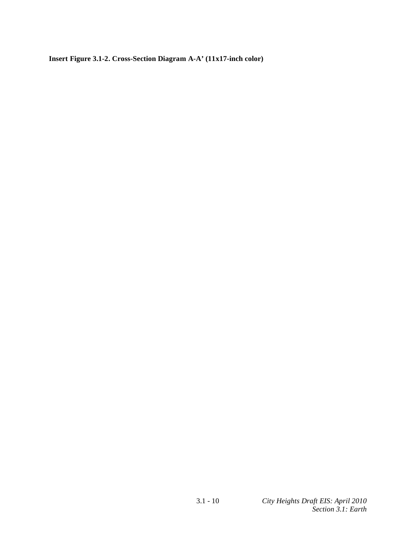**Insert Figure 3.1-2. Cross-Section Diagram A-A' (11x17-inch color)**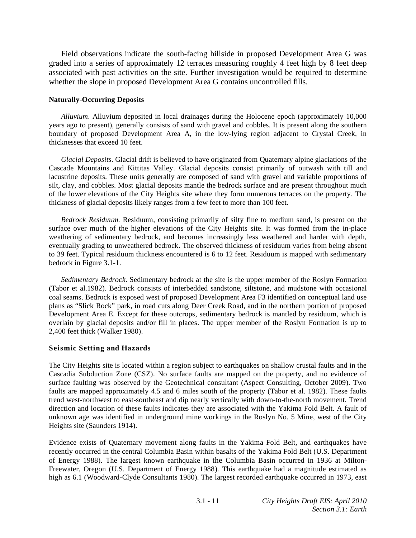Field observations indicate the south-facing hillside in proposed Development Area G was graded into a series of approximately 12 terraces measuring roughly 4 feet high by 8 feet deep associated with past activities on the site. Further investigation would be required to determine whether the slope in proposed Development Area G contains uncontrolled fills.

### **Naturally-Occurring Deposits**

*Alluvium*. Alluvium deposited in local drainages during the Holocene epoch (approximately 10,000 years ago to present), generally consists of sand with gravel and cobbles. It is present along the southern boundary of proposed Development Area A, in the low-lying region adjacent to Crystal Creek, in thicknesses that exceed 10 feet.

*Glacial Deposits*. Glacial drift is believed to have originated from Quaternary alpine glaciations of the Cascade Mountains and Kittitas Valley. Glacial deposits consist primarily of outwash with till and lacustrine deposits. These units generally are composed of sand with gravel and variable proportions of silt, clay, and cobbles. Most glacial deposits mantle the bedrock surface and are present throughout much of the lower elevations of the City Heights site where they form numerous terraces on the property. The thickness of glacial deposits likely ranges from a few feet to more than 100 feet.

*Bedrock Residuum*. Residuum, consisting primarily of silty fine to medium sand, is present on the surface over much of the higher elevations of the City Heights site. It was formed from the in-place weathering of sedimentary bedrock, and becomes increasingly less weathered and harder with depth, eventually grading to unweathered bedrock. The observed thickness of residuum varies from being absent to 39 feet. Typical residuum thickness encountered is 6 to 12 feet. Residuum is mapped with sedimentary bedrock in Figure 3.1-1.

*Sedimentary Bedrock*. Sedimentary bedrock at the site is the upper member of the Roslyn Formation (Tabor et al.1982). Bedrock consists of interbedded sandstone, siltstone, and mudstone with occasional coal seams. Bedrock is exposed west of proposed Development Area F3 identified on conceptual land use plans as "Slick Rock" park, in road cuts along Deer Creek Road, and in the northern portion of proposed Development Area E. Except for these outcrops, sedimentary bedrock is mantled by residuum, which is overlain by glacial deposits and/or fill in places. The upper member of the Roslyn Formation is up to 2,400 feet thick (Walker 1980).

# **Seismic Setting and Hazards**

The City Heights site is located within a region subject to earthquakes on shallow crustal faults and in the Cascadia Subduction Zone (CSZ). No surface faults are mapped on the property, and no evidence of surface faulting was observed by the Geotechnical consultant (Aspect Consulting, October 2009). Two faults are mapped approximately 4.5 and 6 miles south of the property (Tabor et al. 1982). These faults trend west-northwest to east-southeast and dip nearly vertically with down-to-the-north movement. Trend direction and location of these faults indicates they are associated with the Yakima Fold Belt. A fault of unknown age was identified in underground mine workings in the Roslyn No. 5 Mine, west of the City Heights site (Saunders 1914).

Evidence exists of Quaternary movement along faults in the Yakima Fold Belt, and earthquakes have recently occurred in the central Columbia Basin within basalts of the Yakima Fold Belt (U.S. Department of Energy 1988). The largest known earthquake in the Columbia Basin occurred in 1936 at Milton-Freewater, Oregon (U.S. Department of Energy 1988). This earthquake had a magnitude estimated as high as 6.1 (Woodward-Clyde Consultants 1980). The largest recorded earthquake occurred in 1973, east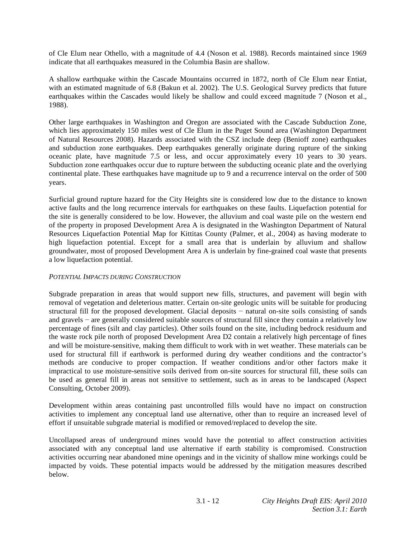of Cle Elum near Othello, with a magnitude of 4.4 (Noson et al. 1988). Records maintained since 1969 indicate that all earthquakes measured in the Columbia Basin are shallow.

A shallow earthquake within the Cascade Mountains occurred in 1872, north of Cle Elum near Entiat, with an estimated magnitude of 6.8 (Bakun et al. 2002). The U.S. Geological Survey predicts that future earthquakes within the Cascades would likely be shallow and could exceed magnitude 7 (Noson et al., 1988).

Other large earthquakes in Washington and Oregon are associated with the Cascade Subduction Zone, which lies approximately 150 miles west of Cle Elum in the Puget Sound area (Washington Department of Natural Resources 2008). Hazards associated with the CSZ include deep (Benioff zone) earthquakes and subduction zone earthquakes. Deep earthquakes generally originate during rupture of the sinking oceanic plate, have magnitude 7.5 or less, and occur approximately every 10 years to 30 years. Subduction zone earthquakes occur due to rupture between the subducting oceanic plate and the overlying continental plate. These earthquakes have magnitude up to 9 and a recurrence interval on the order of 500 years.

Surficial ground rupture hazard for the City Heights site is considered low due to the distance to known active faults and the long recurrence intervals for earthquakes on these faults. Liquefaction potential for the site is generally considered to be low. However, the alluvium and coal waste pile on the western end of the property in proposed Development Area A is designated in the Washington Department of Natural Resources Liquefaction Potential Map for Kittitas County (Palmer, et al., 2004) as having moderate to high liquefaction potential. Except for a small area that is underlain by alluvium and shallow groundwater, most of proposed Development Area A is underlain by fine-grained coal waste that presents a low liquefaction potential.

# *POTENTIAL IMPACTS DURING CONSTRUCTION*

Subgrade preparation in areas that would support new fills, structures, and pavement will begin with removal of vegetation and deleterious matter. Certain on-site geologic units will be suitable for producing structural fill for the proposed development. Glacial deposits  $-$  natural on-site soils consisting of sands and gravels  $-$  are generally considered suitable sources of structural fill since they contain a relatively low percentage of fines (silt and clay particles). Other soils found on the site, including bedrock residuum and the waste rock pile north of proposed Development Area D2 contain a relatively high percentage of fines and will be moisture-sensitive, making them difficult to work with in wet weather. These materials can be used for structural fill if earthwork is performed during dry weather conditions and the contractor's methods are conducive to proper compaction. If weather conditions and/or other factors make it impractical to use moisture-sensitive soils derived from on-site sources for structural fill, these soils can be used as general fill in areas not sensitive to settlement, such as in areas to be landscaped (Aspect Consulting, October 2009).

Development within areas containing past uncontrolled fills would have no impact on construction activities to implement any conceptual land use alternative, other than to require an increased level of effort if unsuitable subgrade material is modified or removed/replaced to develop the site.

Uncollapsed areas of underground mines would have the potential to affect construction activities associated with any conceptual land use alternative if earth stability is compromised. Construction activities occurring near abandoned mine openings and in the vicinity of shallow mine workings could be impacted by voids. These potential impacts would be addressed by the mitigation measures described below.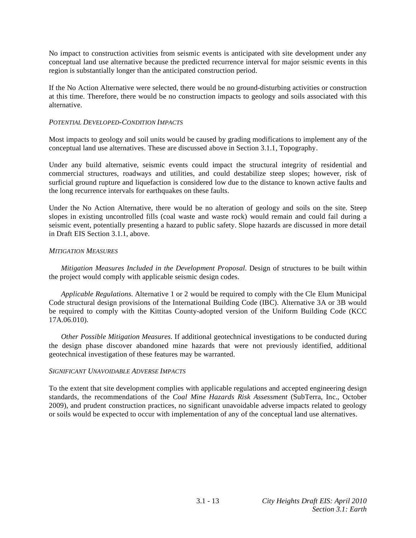No impact to construction activities from seismic events is anticipated with site development under any conceptual land use alternative because the predicted recurrence interval for major seismic events in this region is substantially longer than the anticipated construction period.

If the No Action Alternative were selected, there would be no ground-disturbing activities or construction at this time. Therefore, there would be no construction impacts to geology and soils associated with this alternative.

# *POTENTIAL DEVELOPED-CONDITION IMPACTS*

Most impacts to geology and soil units would be caused by grading modifications to implement any of the conceptual land use alternatives. These are discussed above in Section 3.1.1, Topography.

Under any build alternative, seismic events could impact the structural integrity of residential and commercial structures, roadways and utilities, and could destabilize steep slopes; however, risk of surficial ground rupture and liquefaction is considered low due to the distance to known active faults and the long recurrence intervals for earthquakes on these faults.

Under the No Action Alternative, there would be no alteration of geology and soils on the site. Steep slopes in existing uncontrolled fills (coal waste and waste rock) would remain and could fail during a seismic event, potentially presenting a hazard to public safety. Slope hazards are discussed in more detail in Draft EIS Section 3.1.1, above.

# *MITIGATION MEASURES*

*Mitigation Measures Included in the Development Proposal*. Design of structures to be built within the project would comply with applicable seismic design codes.

*Applicable Regulations*. Alternative 1 or 2 would be required to comply with the Cle Elum Municipal Code structural design provisions of the International Building Code (IBC). Alternative 3A or 3B would be required to comply with the Kittitas County-adopted version of the Uniform Building Code (KCC 17A.06.010).

*Other Possible Mitigation Measures*. If additional geotechnical investigations to be conducted during the design phase discover abandoned mine hazards that were not previously identified, additional geotechnical investigation of these features may be warranted.

# *SIGNIFICANT UNAVOIDABLE ADVERSE IMPACTS*

To the extent that site development complies with applicable regulations and accepted engineering design standards, the recommendations of the *Coal Mine Hazards Risk Assessment* (SubTerra, Inc., October 2009), and prudent construction practices, no significant unavoidable adverse impacts related to geology or soils would be expected to occur with implementation of any of the conceptual land use alternatives.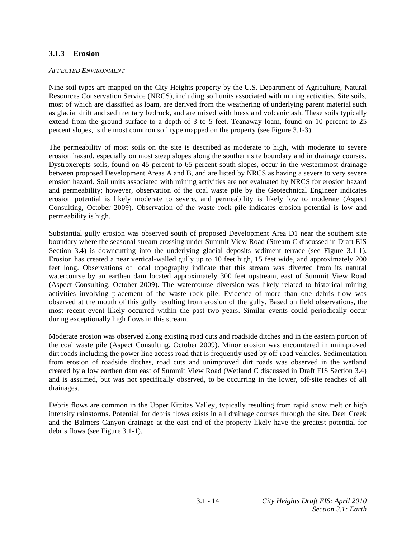# **3.1.3 Erosion**

### *AFFECTED ENVIRONMENT*

Nine soil types are mapped on the City Heights property by the U.S. Department of Agriculture, Natural Resources Conservation Service (NRCS), including soil units associated with mining activities. Site soils, most of which are classified as loam, are derived from the weathering of underlying parent material such as glacial drift and sedimentary bedrock, and are mixed with loess and volcanic ash. These soils typically extend from the ground surface to a depth of 3 to 5 feet. Teanaway loam, found on 10 percent to 25 percent slopes, is the most common soil type mapped on the property (see Figure 3.1-3).

The permeability of most soils on the site is described as moderate to high, with moderate to severe erosion hazard, especially on most steep slopes along the southern site boundary and in drainage courses. Dystroxerepts soils, found on 45 percent to 65 percent south slopes, occur in the westernmost drainage between proposed Development Areas A and B, and are listed by NRCS as having a severe to very severe erosion hazard. Soil units associated with mining activities are not evaluated by NRCS for erosion hazard and permeability; however, observation of the coal waste pile by the Geotechnical Engineer indicates erosion potential is likely moderate to severe, and permeability is likely low to moderate (Aspect Consulting, October 2009). Observation of the waste rock pile indicates erosion potential is low and permeability is high.

Substantial gully erosion was observed south of proposed Development Area D1 near the southern site boundary where the seasonal stream crossing under Summit View Road (Stream C discussed in Draft EIS Section 3.4) is downcutting into the underlying glacial deposits sediment terrace (see Figure 3.1-1). Erosion has created a near vertical-walled gully up to 10 feet high, 15 feet wide, and approximately 200 feet long. Observations of local topography indicate that this stream was diverted from its natural watercourse by an earthen dam located approximately 300 feet upstream, east of Summit View Road (Aspect Consulting, October 2009). The watercourse diversion was likely related to historical mining activities involving placement of the waste rock pile. Evidence of more than one debris flow was observed at the mouth of this gully resulting from erosion of the gully. Based on field observations, the most recent event likely occurred within the past two years. Similar events could periodically occur during exceptionally high flows in this stream.

Moderate erosion was observed along existing road cuts and roadside ditches and in the eastern portion of the coal waste pile (Aspect Consulting, October 2009). Minor erosion was encountered in unimproved dirt roads including the power line access road that is frequently used by off-road vehicles. Sedimentation from erosion of roadside ditches, road cuts and unimproved dirt roads was observed in the wetland created by a low earthen dam east of Summit View Road (Wetland C discussed in Draft EIS Section 3.4) and is assumed, but was not specifically observed, to be occurring in the lower, off-site reaches of all drainages.

Debris flows are common in the Upper Kittitas Valley, typically resulting from rapid snow melt or high intensity rainstorms. Potential for debris flows exists in all drainage courses through the site. Deer Creek and the Balmers Canyon drainage at the east end of the property likely have the greatest potential for debris flows (see Figure 3.1-1).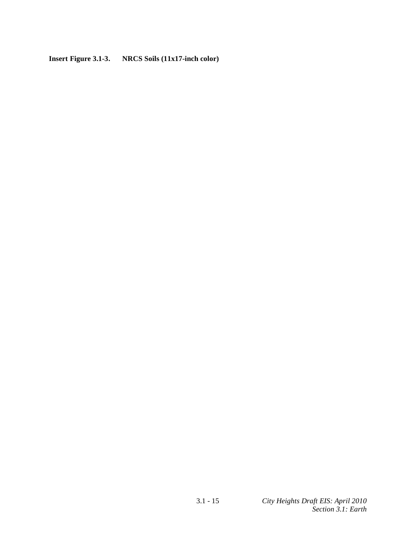**Insert Figure 3.1-3. NRCS Soils (11x17-inch color)**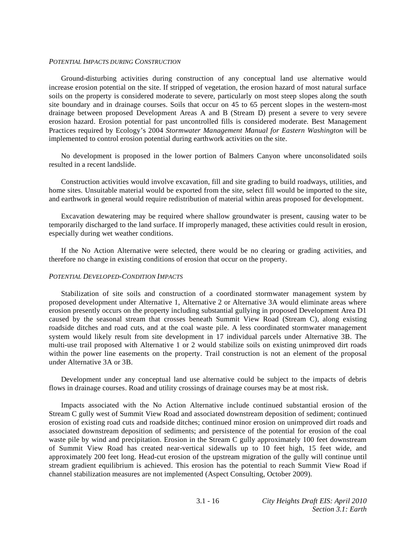#### *POTENTIAL IMPACTS DURING CONSTRUCTION*

 Ground-disturbing activities during construction of any conceptual land use alternative would increase erosion potential on the site. If stripped of vegetation, the erosion hazard of most natural surface soils on the property is considered moderate to severe, particularly on most steep slopes along the south site boundary and in drainage courses. Soils that occur on 45 to 65 percent slopes in the western-most drainage between proposed Development Areas A and B (Stream D) present a severe to very severe erosion hazard. Erosion potential for past uncontrolled fills is considered moderate. Best Management Practices required by Ecology's 2004 *Stormwater Management Manual for Eastern Washington* will be implemented to control erosion potential during earthwork activities on the site.

 No development is proposed in the lower portion of Balmers Canyon where unconsolidated soils resulted in a recent landslide.

 Construction activities would involve excavation, fill and site grading to build roadways, utilities, and home sites. Unsuitable material would be exported from the site, select fill would be imported to the site, and earthwork in general would require redistribution of material within areas proposed for development.

 Excavation dewatering may be required where shallow groundwater is present, causing water to be temporarily discharged to the land surface. If improperly managed, these activities could result in erosion, especially during wet weather conditions.

 If the No Action Alternative were selected, there would be no clearing or grading activities, and therefore no change in existing conditions of erosion that occur on the property.

#### *POTENTIAL DEVELOPED-CONDITION IMPACTS*

 Stabilization of site soils and construction of a coordinated stormwater management system by proposed development under Alternative 1, Alternative 2 or Alternative 3A would eliminate areas where erosion presently occurs on the property including substantial gullying in proposed Development Area D1 caused by the seasonal stream that crosses beneath Summit View Road (Stream C), along existing roadside ditches and road cuts, and at the coal waste pile. A less coordinated stormwater management system would likely result from site development in 17 individual parcels under Alternative 3B. The multi-use trail proposed with Alternative 1 or 2 would stabilize soils on existing unimproved dirt roads within the power line easements on the property. Trail construction is not an element of the proposal under Alternative 3A or 3B.

 Development under any conceptual land use alternative could be subject to the impacts of debris flows in drainage courses. Road and utility crossings of drainage courses may be at most risk.

 Impacts associated with the No Action Alternative include continued substantial erosion of the Stream C gully west of Summit View Road and associated downstream deposition of sediment; continued erosion of existing road cuts and roadside ditches; continued minor erosion on unimproved dirt roads and associated downstream deposition of sediments; and persistence of the potential for erosion of the coal waste pile by wind and precipitation. Erosion in the Stream C gully approximately 100 feet downstream of Summit View Road has created near-vertical sidewalls up to 10 feet high, 15 feet wide, and approximately 200 feet long. Head-cut erosion of the upstream migration of the gully will continue until stream gradient equilibrium is achieved. This erosion has the potential to reach Summit View Road if channel stabilization measures are not implemented (Aspect Consulting, October 2009).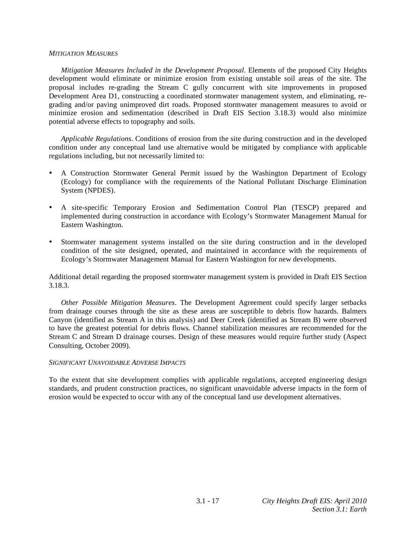#### *MITIGATION MEASURES*

*Mitigation Measures Included in the Development Proposal*. Elements of the proposed City Heights development would eliminate or minimize erosion from existing unstable soil areas of the site. The proposal includes re-grading the Stream C gully concurrent with site improvements in proposed Development Area D1, constructing a coordinated stormwater management system, and eliminating, regrading and/or paving unimproved dirt roads. Proposed stormwater management measures to avoid or minimize erosion and sedimentation (described in Draft EIS Section 3.18.3) would also minimize potential adverse effects to topography and soils.

*Applicable Regulations*. Conditions of erosion from the site during construction and in the developed condition under any conceptual land use alternative would be mitigated by compliance with applicable regulations including, but not necessarily limited to:

- A Construction Stormwater General Permit issued by the Washington Department of Ecology (Ecology) for compliance with the requirements of the National Pollutant Discharge Elimination System (NPDES).
- A site-specific Temporary Erosion and Sedimentation Control Plan (TESCP) prepared and implemented during construction in accordance with Ecology's Stormwater Management Manual for Eastern Washington.
- Stormwater management systems installed on the site during construction and in the developed condition of the site designed, operated, and maintained in accordance with the requirements of Ecology's Stormwater Management Manual for Eastern Washington for new developments.

Additional detail regarding the proposed stormwater management system is provided in Draft EIS Section 3.18.3.

*Other Possible Mitigation Measures*. The Development Agreement could specify larger setbacks from drainage courses through the site as these areas are susceptible to debris flow hazards. Balmers Canyon (identified as Stream A in this analysis) and Deer Creek (identified as Stream B) were observed to have the greatest potential for debris flows. Channel stabilization measures are recommended for the Stream C and Stream D drainage courses. Design of these measures would require further study (Aspect Consulting, October 2009).

#### *SIGNIFICANT UNAVOIDABLE ADVERSE IMPACTS*

To the extent that site development complies with applicable regulations, accepted engineering design standards, and prudent construction practices, no significant unavoidable adverse impacts in the form of erosion would be expected to occur with any of the conceptual land use development alternatives.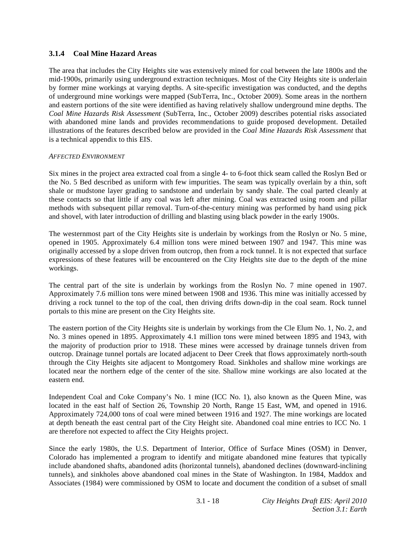# **3.1.4 Coal Mine Hazard Areas**

The area that includes the City Heights site was extensively mined for coal between the late 1800s and the mid-1900s, primarily using underground extraction techniques. Most of the City Heights site is underlain by former mine workings at varying depths. A site-specific investigation was conducted, and the depths of underground mine workings were mapped (SubTerra, Inc., October 2009). Some areas in the northern and eastern portions of the site were identified as having relatively shallow underground mine depths. The *Coal Mine Hazards Risk Assessment* (SubTerra, Inc., October 2009) describes potential risks associated with abandoned mine lands and provides recommendations to guide proposed development. Detailed illustrations of the features described below are provided in the *Coal Mine Hazards Risk Assessment* that is a technical appendix to this EIS.

### *AFFECTED ENVIRONMENT*

Six mines in the project area extracted coal from a single 4- to 6-foot thick seam called the Roslyn Bed or the No. 5 Bed described as uniform with few impurities. The seam was typically overlain by a thin, soft shale or mudstone layer grading to sandstone and underlain by sandy shale. The coal parted cleanly at these contacts so that little if any coal was left after mining. Coal was extracted using room and pillar methods with subsequent pillar removal. Turn-of-the-century mining was performed by hand using pick and shovel, with later introduction of drilling and blasting using black powder in the early 1900s.

The westernmost part of the City Heights site is underlain by workings from the Roslyn or No. 5 mine, opened in 1905. Approximately 6.4 million tons were mined between 1907 and 1947. This mine was originally accessed by a slope driven from outcrop, then from a rock tunnel. It is not expected that surface expressions of these features will be encountered on the City Heights site due to the depth of the mine workings.

The central part of the site is underlain by workings from the Roslyn No. 7 mine opened in 1907. Approximately 7.6 million tons were mined between 1908 and 1936. This mine was initially accessed by driving a rock tunnel to the top of the coal, then driving drifts down-dip in the coal seam. Rock tunnel portals to this mine are present on the City Heights site.

The eastern portion of the City Heights site is underlain by workings from the Cle Elum No. 1, No. 2, and No. 3 mines opened in 1895. Approximately 4.1 million tons were mined between 1895 and 1943, with the majority of production prior to 1918. These mines were accessed by drainage tunnels driven from outcrop. Drainage tunnel portals are located adjacent to Deer Creek that flows approximately north-south through the City Heights site adjacent to Montgomery Road. Sinkholes and shallow mine workings are located near the northern edge of the center of the site. Shallow mine workings are also located at the eastern end.

Independent Coal and Coke Company's No. 1 mine (ICC No. 1), also known as the Queen Mine, was located in the east half of Section 26, Township 20 North, Range 15 East, WM, and opened in 1916. Approximately 724,000 tons of coal were mined between 1916 and 1927. The mine workings are located at depth beneath the east central part of the City Height site. Abandoned coal mine entries to ICC No. 1 are therefore not expected to affect the City Heights project.

Since the early 1980s, the U.S. Department of Interior, Office of Surface Mines (OSM) in Denver, Colorado has implemented a program to identify and mitigate abandoned mine features that typically include abandoned shafts, abandoned adits (horizontal tunnels), abandoned declines (downward-inclining tunnels), and sinkholes above abandoned coal mines in the State of Washington. In 1984, Maddox and Associates (1984) were commissioned by OSM to locate and document the condition of a subset of small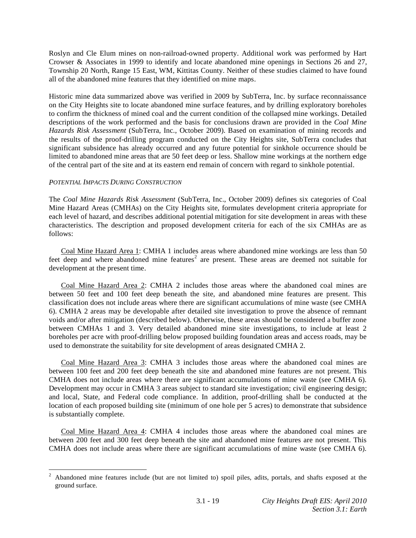Roslyn and Cle Elum mines on non-railroad-owned property. Additional work was performed by Hart Crowser & Associates in 1999 to identify and locate abandoned mine openings in Sections 26 and 27, Township 20 North, Range 15 East, WM, Kittitas County. Neither of these studies claimed to have found all of the abandoned mine features that they identified on mine maps.

Historic mine data summarized above was verified in 2009 by SubTerra, Inc. by surface reconnaissance on the City Heights site to locate abandoned mine surface features, and by drilling exploratory boreholes to confirm the thickness of mined coal and the current condition of the collapsed mine workings. Detailed descriptions of the work performed and the basis for conclusions drawn are provided in the *Coal Mine Hazards Risk Assessment* (SubTerra, Inc., October 2009). Based on examination of mining records and the results of the proof-drilling program conducted on the City Heights site, SubTerra concludes that significant subsidence has already occurred and any future potential for sinkhole occurrence should be limited to abandoned mine areas that are 50 feet deep or less. Shallow mine workings at the northern edge of the central part of the site and at its eastern end remain of concern with regard to sinkhole potential.

# *POTENTIAL IMPACTS DURING CONSTRUCTION*

The *Coal Mine Hazards Risk Assessment* (SubTerra, Inc., October 2009) defines six categories of Coal Mine Hazard Areas (CMHAs) on the City Heights site, formulates development criteria appropriate for each level of hazard, and describes additional potential mitigation for site development in areas with these characteristics. The description and proposed development criteria for each of the six CMHAs are as follows:

 Coal Mine Hazard Area 1: CMHA 1 includes areas where abandoned mine workings are less than 50 feet deep and where abandoned mine features<sup>2</sup> are present. These areas are deemed not suitable for development at the present time.

 Coal Mine Hazard Area 2: CMHA 2 includes those areas where the abandoned coal mines are between 50 feet and 100 feet deep beneath the site, and abandoned mine features are present. This classification does not include areas where there are significant accumulations of mine waste (see CMHA 6). CMHA 2 areas may be developable after detailed site investigation to prove the absence of remnant voids and/or after mitigation (described below). Otherwise, these areas should be considered a buffer zone between CMHAs 1 and 3. Very detailed abandoned mine site investigations, to include at least 2 boreholes per acre with proof-drilling below proposed building foundation areas and access roads, may be used to demonstrate the suitability for site development of areas designated CMHA 2.

 Coal Mine Hazard Area 3: CMHA 3 includes those areas where the abandoned coal mines are between 100 feet and 200 feet deep beneath the site and abandoned mine features are not present. This CMHA does not include areas where there are significant accumulations of mine waste (see CMHA 6). Development may occur in CMHA 3 areas subject to standard site investigation; civil engineering design; and local, State, and Federal code compliance. In addition, proof-drilling shall be conducted at the location of each proposed building site (minimum of one hole per 5 acres) to demonstrate that subsidence is substantially complete.

 Coal Mine Hazard Area 4: CMHA 4 includes those areas where the abandoned coal mines are between 200 feet and 300 feet deep beneath the site and abandoned mine features are not present. This CMHA does not include areas where there are significant accumulations of mine waste (see CMHA 6).

<sup>&</sup>lt;sup>2</sup> Abandoned mine features include (but are not limited to) spoil piles, adits, portals, and shafts exposed at the ground surface.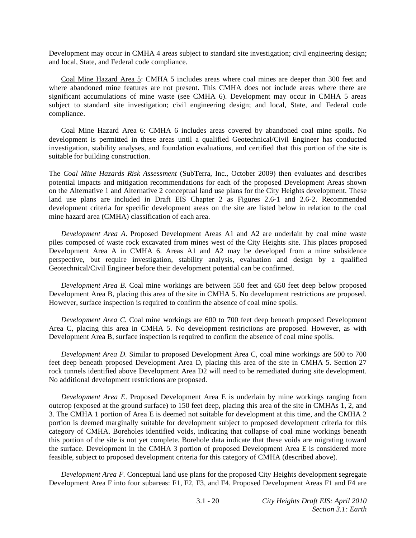Development may occur in CMHA 4 areas subject to standard site investigation; civil engineering design; and local, State, and Federal code compliance.

 Coal Mine Hazard Area 5: CMHA 5 includes areas where coal mines are deeper than 300 feet and where abandoned mine features are not present. This CMHA does not include areas where there are significant accumulations of mine waste (see CMHA 6). Development may occur in CMHA 5 areas subject to standard site investigation; civil engineering design; and local, State, and Federal code compliance.

 Coal Mine Hazard Area 6: CMHA 6 includes areas covered by abandoned coal mine spoils. No development is permitted in these areas until a qualified Geotechnical/Civil Engineer has conducted investigation, stability analyses, and foundation evaluations, and certified that this portion of the site is suitable for building construction.

The *Coal Mine Hazards Risk Assessment* (SubTerra, Inc., October 2009) then evaluates and describes potential impacts and mitigation recommendations for each of the proposed Development Areas shown on the Alternative 1 and Alternative 2 conceptual land use plans for the City Heights development. These land use plans are included in Draft EIS Chapter 2 as Figures 2.6-1 and 2.6-2. Recommended development criteria for specific development areas on the site are listed below in relation to the coal mine hazard area (CMHA) classification of each area.

*Development Area A*. Proposed Development Areas A1 and A2 are underlain by coal mine waste piles composed of waste rock excavated from mines west of the City Heights site. This places proposed Development Area A in CMHA 6. Areas A1 and A2 may be developed from a mine subsidence perspective, but require investigation, stability analysis, evaluation and design by a qualified Geotechnical/Civil Engineer before their development potential can be confirmed.

*Development Area B*. Coal mine workings are between 550 feet and 650 feet deep below proposed Development Area B, placing this area of the site in CMHA 5. No development restrictions are proposed. However, surface inspection is required to confirm the absence of coal mine spoils.

*Development Area C*. Coal mine workings are 600 to 700 feet deep beneath proposed Development Area C, placing this area in CMHA 5. No development restrictions are proposed. However, as with Development Area B, surface inspection is required to confirm the absence of coal mine spoils.

*Development Area D*. Similar to proposed Development Area C, coal mine workings are 500 to 700 feet deep beneath proposed Development Area D, placing this area of the site in CMHA 5. Section 27 rock tunnels identified above Development Area D2 will need to be remediated during site development. No additional development restrictions are proposed.

*Development Area E*. Proposed Development Area E is underlain by mine workings ranging from outcrop (exposed at the ground surface) to 150 feet deep, placing this area of the site in CMHAs 1, 2, and 3. The CMHA 1 portion of Area E is deemed not suitable for development at this time, and the CMHA 2 portion is deemed marginally suitable for development subject to proposed development criteria for this category of CMHA. Boreholes identified voids, indicating that collapse of coal mine workings beneath this portion of the site is not yet complete. Borehole data indicate that these voids are migrating toward the surface. Development in the CMHA 3 portion of proposed Development Area E is considered more feasible, subject to proposed development criteria for this category of CMHA (described above).

*Development Area F*. Conceptual land use plans for the proposed City Heights development segregate Development Area F into four subareas: F1, F2, F3, and F4. Proposed Development Areas F1 and F4 are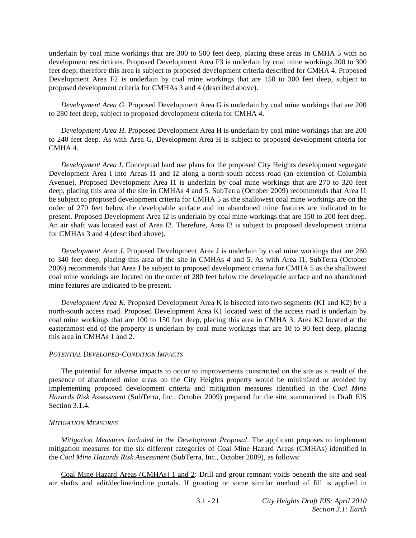underlain by coal mine workings that are 300 to 500 feet deep, placing these areas in CMHA 5 with no development restrictions. Proposed Development Area F3 is underlain by coal mine workings 200 to 300 feet deep; therefore this area is subject to proposed development criteria described for CMHA 4. Proposed Development Area F2 is underlain by coal mine workings that are 150 to 300 feet deep, subject to proposed development criteria for CMHAs 3 and 4 (described above).

*Development Area G*. Proposed Development Area G is underlain by coal mine workings that are 200 to 280 feet deep, subject to proposed development criteria for CMHA 4.

*Development Area H*. Proposed Development Area H is underlain by coal mine workings that are 200 to 240 feet deep. As with Area G, Development Area H is subject to proposed development criteria for CMHA 4.

*Development Area I*. Conceptual land use plans for the proposed City Heights development segregate Development Area I into Areas I1 and I2 along a north-south access road (an extension of Columbia Avenue). Proposed Development Area I1 is underlain by coal mine workings that are 270 to 320 feet deep, placing this area of the site in CMHAs 4 and 5. SubTerra (October 2009) recommends that Area I1 be subject to proposed development criteria for CMHA 5 as the shallowest coal mine workings are on the order of 270 feet below the developable surface and no abandoned mine features are indicated to be present. Proposed Development Area I2 is underlain by coal mine workings that are 150 to 200 feet deep. An air shaft was located east of Area I2. Therefore, Area I2 is subject to proposed development criteria for CMHAs 3 and 4 (described above).

*Development Area J*. Proposed Development Area J is underlain by coal mine workings that are 260 to 340 feet deep, placing this area of the site in CMHAs 4 and 5. As with Area I1, SubTerra (October 2009) recommends that Area J be subject to proposed development criteria for CMHA 5 as the shallowest coal mine workings are located on the order of 280 feet below the developable surface and no abandoned mine features are indicated to be present.

*Development Area K*. Proposed Development Area K is bisected into two segments (K1 and K2) by a north-south access road. Proposed Development Area K1 located west of the access road is underlain by coal mine workings that are 100 to 150 feet deep, placing this area in CMHA 3. Area K2 located at the easternmost end of the property is underlain by coal mine workings that are 10 to 90 feet deep, placing this area in CMHAs 1 and 2.

#### *POTENTIAL DEVELOPED-CONDITION IMPACTS*

 The potential for adverse impacts to occur to improvements constructed on the site as a result of the presence of abandoned mine areas on the City Heights property would be minimized or avoided by implementing proposed development criteria and mitigation measures identified in the *Coal Mine Hazards Risk Assessment* (SubTerra, Inc., October 2009) prepared for the site, summarized in Draft EIS Section 3.1.4.

#### *MITIGATION MEASURES*

*Mitigation Measures Included in the Development Proposal*. The applicant proposes to implement mitigation measures for the six different categories of Coal Mine Hazard Areas (CMHAs) identified in the *Coal Mine Hazards Risk Assessment* (SubTerra, Inc., October 2009), as follows:

 Coal Mine Hazard Areas (CMHAs) 1 and 2: Drill and grout remnant voids beneath the site and seal air shafts and adit/decline/incline portals. If grouting or some similar method of fill is applied in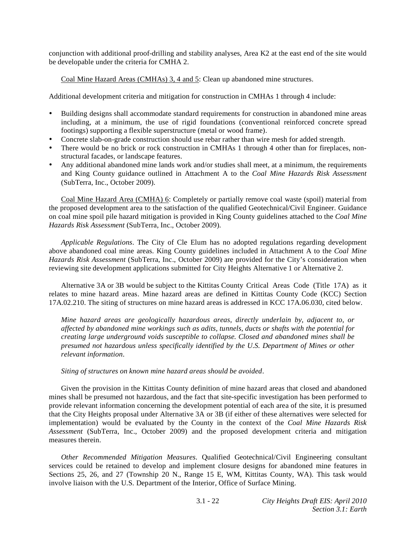conjunction with additional proof-drilling and stability analyses, Area K2 at the east end of the site would be developable under the criteria for CMHA 2.

Coal Mine Hazard Areas (CMHAs) 3, 4 and 5: Clean up abandoned mine structures.

Additional development criteria and mitigation for construction in CMHAs 1 through 4 include:

- Building designs shall accommodate standard requirements for construction in abandoned mine areas including, at a minimum, the use of rigid foundations (conventional reinforced concrete spread footings) supporting a flexible superstructure (metal or wood frame).
- Concrete slab-on-grade construction should use rebar rather than wire mesh for added strength.
- There would be no brick or rock construction in CMHAs 1 through 4 other than for fireplaces, nonstructural facades, or landscape features.
- Any additional abandoned mine lands work and/or studies shall meet, at a minimum, the requirements and King County guidance outlined in Attachment A to the *Coal Mine Hazards Risk Assessment* (SubTerra, Inc., October 2009).

 Coal Mine Hazard Area (CMHA) 6: Completely or partially remove coal waste (spoil) material from the proposed development area to the satisfaction of the qualified Geotechnical/Civil Engineer. Guidance on coal mine spoil pile hazard mitigation is provided in King County guidelines attached to the *Coal Mine Hazards Risk Assessment* (SubTerra, Inc., October 2009).

*Applicable Regulations*. The City of Cle Elum has no adopted regulations regarding development above abandoned coal mine areas. King County guidelines included in Attachment A to the *Coal Mine Hazards Risk Assessment* (SubTerra, Inc., October 2009) are provided for the City's consideration when reviewing site development applications submitted for City Heights Alternative 1 or Alternative 2.

 Alternative 3A or 3B would be subject to the Kittitas County Critical Areas Code (Title 17A) as it relates to mine hazard areas. Mine hazard areas are defined in Kittitas County Code (KCC) Section 17A.02.210. The siting of structures on mine hazard areas is addressed in KCC 17A.06.030, cited below.

*Mine hazard areas are geologically hazardous areas, directly underlain by, adjacent to, or affected by abandoned mine workings such as adits, tunnels, ducts or shafts with the potential for creating large underground voids susceptible to collapse. Closed and abandoned mines shall be presumed not hazardous unless specifically identified by the U.S. Department of Mines or other relevant information*.

*Siting of structures on known mine hazard areas should be avoided*.

 Given the provision in the Kittitas County definition of mine hazard areas that closed and abandoned mines shall be presumed not hazardous, and the fact that site-specific investigation has been performed to provide relevant information concerning the development potential of each area of the site, it is presumed that the City Heights proposal under Alternative 3A or 3B (if either of these alternatives were selected for implementation) would be evaluated by the County in the context of the *Coal Mine Hazards Risk Assessment* (SubTerra, Inc., October 2009) and the proposed development criteria and mitigation measures therein.

*Other Recommended Mitigation Measures*. Qualified Geotechnical/Civil Engineering consultant services could be retained to develop and implement closure designs for abandoned mine features in Sections 25, 26, and 27 (Township 20 N., Range 15 E, WM, Kittitas County, WA). This task would involve liaison with the U.S. Department of the Interior, Office of Surface Mining.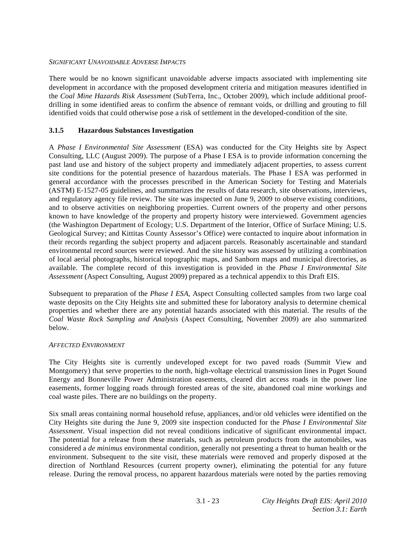# *SIGNIFICANT UNAVOIDABLE ADVERSE IMPACTS*

There would be no known significant unavoidable adverse impacts associated with implementing site development in accordance with the proposed development criteria and mitigation measures identified in the *Coal Mine Hazards Risk Assessment* (SubTerra, Inc., October 2009), which include additional proofdrilling in some identified areas to confirm the absence of remnant voids, or drilling and grouting to fill identified voids that could otherwise pose a risk of settlement in the developed-condition of the site.

# **3.1.5 Hazardous Substances Investigation**

A *Phase I Environmental Site Assessment* (ESA) was conducted for the City Heights site by Aspect Consulting, LLC (August 2009). The purpose of a Phase I ESA is to provide information concerning the past land use and history of the subject property and immediately adjacent properties, to assess current site conditions for the potential presence of hazardous materials. The Phase I ESA was performed in general accordance with the processes prescribed in the American Society for Testing and Materials (ASTM) E-1527-05 guidelines, and summarizes the results of data research, site observations, interviews, and regulatory agency file review. The site was inspected on June 9, 2009 to observe existing conditions, and to observe activities on neighboring properties. Current owners of the property and other persons known to have knowledge of the property and property history were interviewed. Government agencies (the Washington Department of Ecology; U.S. Department of the Interior, Office of Surface Mining; U.S. Geological Survey; and Kittitas County Assessor's Office) were contacted to inquire about information in their records regarding the subject property and adjacent parcels. Reasonably ascertainable and standard environmental record sources were reviewed. And the site history was assessed by utilizing a combination of local aerial photographs, historical topographic maps, and Sanborn maps and municipal directories, as available. The complete record of this investigation is provided in the *Phase I Environmental Site Assessment* (Aspect Consulting, August 2009) prepared as a technical appendix to this Draft EIS.

Subsequent to preparation of the *Phase I ESA*, Aspect Consulting collected samples from two large coal waste deposits on the City Heights site and submitted these for laboratory analysis to determine chemical properties and whether there are any potential hazards associated with this material. The results of the *Coal Waste Rock Sampling and Analysis* (Aspect Consulting, November 2009) are also summarized below.

# *AFFECTED ENVIRONMENT*

The City Heights site is currently undeveloped except for two paved roads (Summit View and Montgomery) that serve properties to the north, high-voltage electrical transmission lines in Puget Sound Energy and Bonneville Power Administration easements, cleared dirt access roads in the power line easements, former logging roads through forested areas of the site, abandoned coal mine workings and coal waste piles. There are no buildings on the property.

Six small areas containing normal household refuse, appliances, and/or old vehicles were identified on the City Heights site during the June 9, 2009 site inspection conducted for the *Phase I Environmental Site Assessment*. Visual inspection did not reveal conditions indicative of significant environmental impact. The potential for a release from these materials, such as petroleum products from the automobiles, was considered a *de minimus* environmental condition, generally not presenting a threat to human health or the environment. Subsequent to the site visit, these materials were removed and properly disposed at the direction of Northland Resources (current property owner), eliminating the potential for any future release. During the removal process, no apparent hazardous materials were noted by the parties removing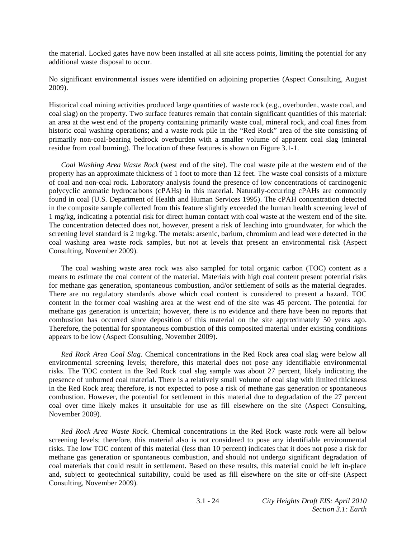the material. Locked gates have now been installed at all site access points, limiting the potential for any additional waste disposal to occur.

No significant environmental issues were identified on adjoining properties (Aspect Consulting, August 2009).

Historical coal mining activities produced large quantities of waste rock (e.g., overburden, waste coal, and coal slag) on the property. Two surface features remain that contain significant quantities of this material: an area at the west end of the property containing primarily waste coal, mineral rock, and coal fines from historic coal washing operations; and a waste rock pile in the "Red Rock" area of the site consisting of primarily non-coal-bearing bedrock overburden with a smaller volume of apparent coal slag (mineral residue from coal burning). The location of these features is shown on Figure 3.1-1.

*Coal Washing Area Waste Rock* (west end of the site). The coal waste pile at the western end of the property has an approximate thickness of 1 foot to more than 12 feet. The waste coal consists of a mixture of coal and non-coal rock. Laboratory analysis found the presence of low concentrations of carcinogenic polycyclic aromatic hydrocarbons (cPAHs) in this material. Naturally-occurring cPAHs are commonly found in coal (U.S. Department of Health and Human Services 1995). The cPAH concentration detected in the composite sample collected from this feature slightly exceeded the human health screening level of 1 mg/kg, indicating a potential risk for direct human contact with coal waste at the western end of the site. The concentration detected does not, however, present a risk of leaching into groundwater, for which the screening level standard is 2 mg/kg. The metals: arsenic, barium, chromium and lead were detected in the coal washing area waste rock samples, but not at levels that present an environmental risk (Aspect Consulting, November 2009).

 The coal washing waste area rock was also sampled for total organic carbon (TOC) content as a means to estimate the coal content of the material. Materials with high coal content present potential risks for methane gas generation, spontaneous combustion, and/or settlement of soils as the material degrades. There are no regulatory standards above which coal content is considered to present a hazard. TOC content in the former coal washing area at the west end of the site was 45 percent. The potential for methane gas generation is uncertain; however, there is no evidence and there have been no reports that combustion has occurred since deposition of this material on the site approximately 50 years ago. Therefore, the potential for spontaneous combustion of this composited material under existing conditions appears to be low (Aspect Consulting, November 2009).

*Red Rock Area Coal Slag*. Chemical concentrations in the Red Rock area coal slag were below all environmental screening levels; therefore, this material does not pose any identifiable environmental risks. The TOC content in the Red Rock coal slag sample was about 27 percent, likely indicating the presence of unburned coal material. There is a relatively small volume of coal slag with limited thickness in the Red Rock area; therefore, is not expected to pose a risk of methane gas generation or spontaneous combustion. However, the potential for settlement in this material due to degradation of the 27 percent coal over time likely makes it unsuitable for use as fill elsewhere on the site (Aspect Consulting, November 2009).

*Red Rock Area Waste Rock*. Chemical concentrations in the Red Rock waste rock were all below screening levels; therefore, this material also is not considered to pose any identifiable environmental risks. The low TOC content of this material (less than 10 percent) indicates that it does not pose a risk for methane gas generation or spontaneous combustion, and should not undergo significant degradation of coal materials that could result in settlement. Based on these results, this material could be left in-place and, subject to geotechnical suitability, could be used as fill elsewhere on the site or off-site (Aspect Consulting, November 2009).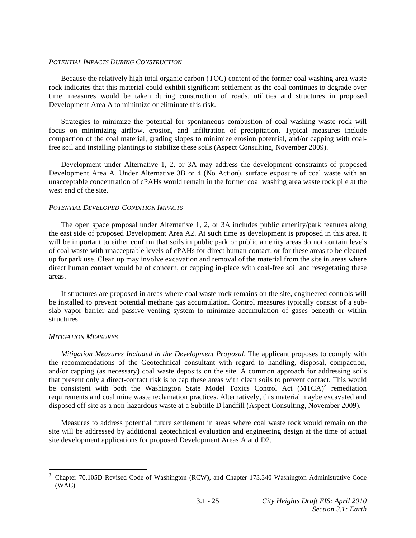#### *POTENTIAL IMPACTS DURING CONSTRUCTION*

 Because the relatively high total organic carbon (TOC) content of the former coal washing area waste rock indicates that this material could exhibit significant settlement as the coal continues to degrade over time, measures would be taken during construction of roads, utilities and structures in proposed Development Area A to minimize or eliminate this risk.

 Strategies to minimize the potential for spontaneous combustion of coal washing waste rock will focus on minimizing airflow, erosion, and infiltration of precipitation. Typical measures include compaction of the coal material, grading slopes to minimize erosion potential, and/or capping with coalfree soil and installing plantings to stabilize these soils (Aspect Consulting, November 2009).

 Development under Alternative 1, 2, or 3A may address the development constraints of proposed Development Area A. Under Alternative 3B or 4 (No Action), surface exposure of coal waste with an unacceptable concentration of cPAHs would remain in the former coal washing area waste rock pile at the west end of the site.

# *POTENTIAL DEVELOPED-CONDITION IMPACTS*

 The open space proposal under Alternative 1, 2, or 3A includes public amenity/park features along the east side of proposed Development Area A2. At such time as development is proposed in this area, it will be important to either confirm that soils in public park or public amenity areas do not contain levels of coal waste with unacceptable levels of cPAHs for direct human contact, or for these areas to be cleaned up for park use. Clean up may involve excavation and removal of the material from the site in areas where direct human contact would be of concern, or capping in-place with coal-free soil and revegetating these areas.

 If structures are proposed in areas where coal waste rock remains on the site, engineered controls will be installed to prevent potential methane gas accumulation. Control measures typically consist of a subslab vapor barrier and passive venting system to minimize accumulation of gases beneath or within structures.

# *MITIGATION MEASURES*

*Mitigation Measures Included in the Development Proposal*. The applicant proposes to comply with the recommendations of the Geotechnical consultant with regard to handling, disposal, compaction, and/or capping (as necessary) coal waste deposits on the site. A common approach for addressing soils that present only a direct-contact risk is to cap these areas with clean soils to prevent contact. This would be consistent with both the Washington State Model Toxics Control Act (MTCA)<sup>3</sup> remediation requirements and coal mine waste reclamation practices. Alternatively, this material maybe excavated and disposed off-site as a non-hazardous waste at a Subtitle D landfill (Aspect Consulting, November 2009).

 Measures to address potential future settlement in areas where coal waste rock would remain on the site will be addressed by additional geotechnical evaluation and engineering design at the time of actual site development applications for proposed Development Areas A and D2.

 $\overline{a}$ 3 Chapter 70.105D Revised Code of Washington (RCW), and Chapter 173.340 Washington Administrative Code (WAC).